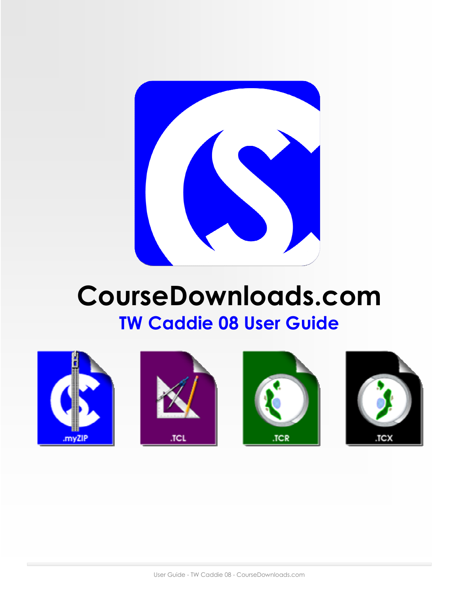

# CourseDownloads.com TW Caddie 08 User Guide







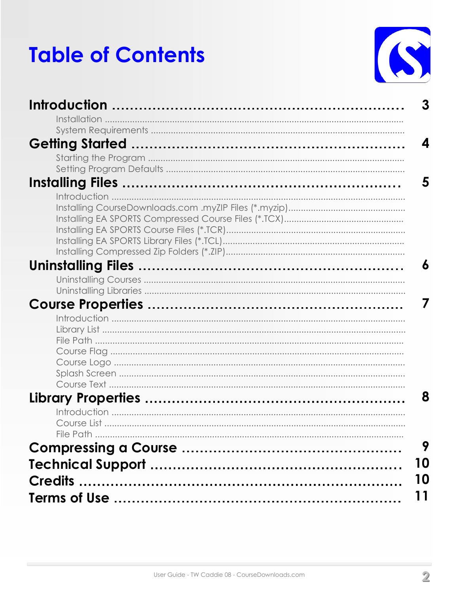# **Table of Contents**



| 3         |  |
|-----------|--|
|           |  |
|           |  |
| Δ         |  |
|           |  |
|           |  |
|           |  |
| 6         |  |
|           |  |
|           |  |
|           |  |
| 8         |  |
| File Path |  |
| 9         |  |
| 10        |  |
| 10<br>11  |  |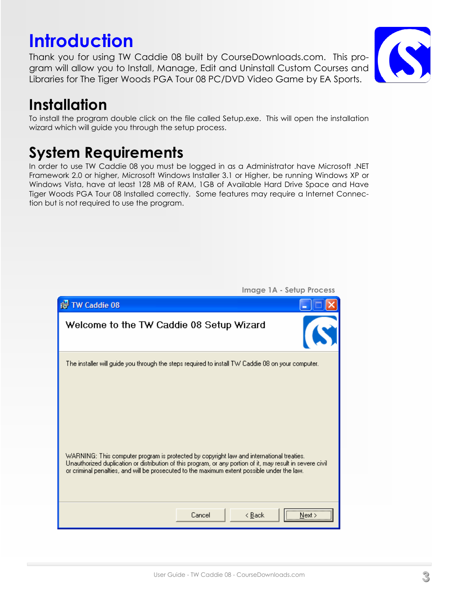#### User Guide - TW Caddie 08 - CourseDownloads.com

Cancel

 $\leq$   $\underline{B}$ ack

 $N$ ext >

| <b>Image 1A - Setup Process</b><br>ist TW Caddie 08                                                                                                                                                                                                                                                   |
|-------------------------------------------------------------------------------------------------------------------------------------------------------------------------------------------------------------------------------------------------------------------------------------------------------|
| Welcome to the TW Caddie 08 Setup Wizard                                                                                                                                                                                                                                                              |
| The installer will guide you through the steps required to install TW Caddie 08 on your computer.                                                                                                                                                                                                     |
| WARNING: This computer program is protected by copyright law and international treaties.<br>Unauthorized duplication or distribution of this program, or any portion of it, may result in severe civil<br>or criminal penalties, and will be prosecuted to the maximum extent possible under the law. |

## System Requirements

In order to use TW Caddie 08 you must be logged in as a Administrator have Microsoft .NET Framework 2.0 or higher, Microsoft Windows Installer 3.1 or Higher, be running Windows XP or Windows Vista, have at least 128 MB of RAM, 1GB of Available Hard Drive Space and Have Tiger Woods PGA Tour 08 Installed correctly. Some features may require a Internet Connection but is not required to use the program.

### Installation

To install the program double click on the file called Setup.exe. This will open the installation wizard which will guide you through the setup process.

## **Introduction**

Thank you for using TW Caddie 08 built by CourseDownloads.com. This program will allow you to Install, Manage, Edit and Uninstall Custom Courses and Libraries for The Tiger Woods PGA Tour 08 PC/DVD Video Game by EA Sports.

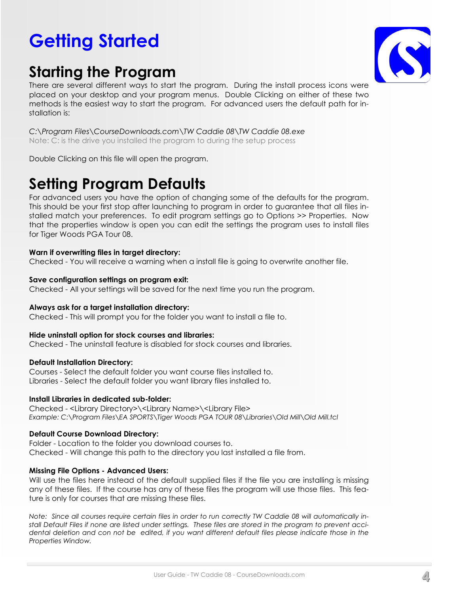## Getting Started

## Starting the Program



There are several different ways to start the program. During the install process icons were placed on your desktop and your program menus. Double Clicking on either of these two methods is the easiest way to start the program. For advanced users the default path for installation is:

C:\Program Files\CourseDownloads.com\TW Caddie 08\TW Caddie 08.exe Note: C: is the drive you installed the program to during the setup process

Double Clicking on this file will open the program.

### Setting Program Defaults

For advanced users you have the option of changing some of the defaults for the program. This should be your first stop after launching to program in order to guarantee that all files installed match your preferences. To edit program settings go to Options >> Properties. Now that the properties window is open you can edit the settings the program uses to install files for Tiger Woods PGA Tour 08.

### Warn if overwriting files in target directory:

Checked - You will receive a warning when a install file is going to overwrite another file.

### Save configuration settings on program exit:

Checked - All your settings will be saved for the next time you run the program.

### Always ask for a target installation directory:

Checked - This will prompt you for the folder you want to install a file to.

### Hide uninstall option for stock courses and libraries:

Checked - The uninstall feature is disabled for stock courses and libraries.

### Default Installation Directory:

Courses - Select the default folder you want course files installed to. Libraries - Select the default folder you want library files installed to.

### Install Libraries in dedicated sub-folder:

Checked - <Library Directory>\<Library Name>\<Library File> Example: C:\Program Files\EA SPORTS\Tiger Woods PGA TOUR 08\Libraries\Old Mill\Old Mill.tcl

### Default Course Download Directory:

Folder - Location to the folder you download courses to. Checked - Will change this path to the directory you last installed a file from.

### Missing File Options - Advanced Users:

Will use the files here instead of the default supplied files if the file you are installing is missing any of these files. If the course has any of these files the program will use those files. This feature is only for courses that are missing these files.

Note: Since all courses require certain files in order to run correctly TW Caddie 08 will automatically install Default Files if none are listed under settings. These files are stored in the program to prevent accidental deletion and con not be edited, if you want different default files please indicate those in the Properties Window.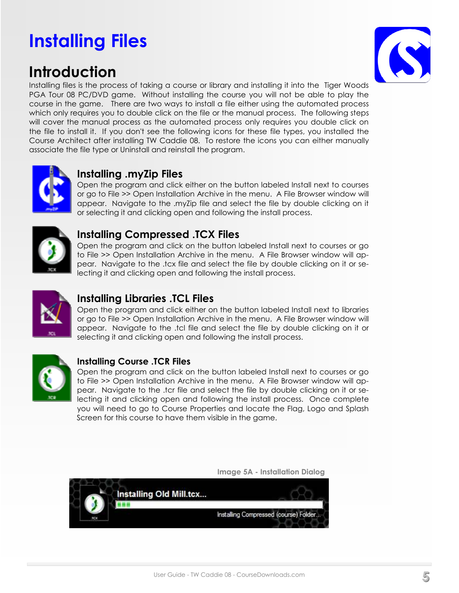## Installing Files

### Introduction



Installing files is the process of taking a course or library and installing it into the Tiger Woods PGA Tour 08 PC/DVD game. Without installing the course you will not be able to play the course in the game. There are two ways to install a file either using the automated process which only requires you to double click on the file or the manual process. The following steps will cover the manual process as the automated process only requires you double click on the file to install it. If you don't see the following icons for these file types, you installed the Course Architect after installing TW Caddie 08. To restore the icons you can either manually associate the file type or Uninstall and reinstall the program.



### Installing .myZip Files

Open the program and click either on the button labeled Install next to courses or go to File >> Open Installation Archive in the menu. A File Browser window will appear. Navigate to the .myZip file and select the file by double clicking on it or selecting it and clicking open and following the install process.



### Installing Compressed .TCX Files

Open the program and click on the button labeled Install next to courses or go to File >> Open Installation Archive in the menu. A File Browser window will appear. Navigate to the .tcx file and select the file by double clicking on it or selecting it and clicking open and following the install process.



### Installing Libraries .TCL Files

Open the program and click either on the button labeled Install next to libraries or go to File >> Open Installation Archive in the menu. A File Browser window will appear. Navigate to the .tcl file and select the file by double clicking on it or selecting it and clicking open and following the install process.



### Installing Course .TCR Files

Open the program and click on the button labeled Install next to courses or go to File >> Open Installation Archive in the menu. A File Browser window will appear. Navigate to the .tcr file and select the file by double clicking on it or selecting it and clicking open and following the install process. Once complete you will need to go to Course Properties and locate the Flag, Logo and Splash Screen for this course to have them visible in the game.



Image 5A - Installation Dialog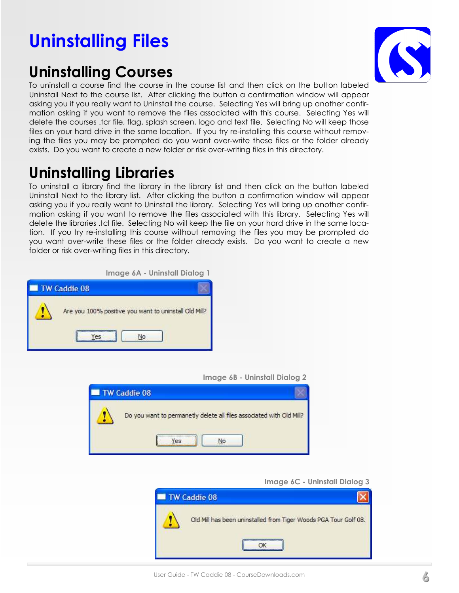## Uninstalling Files

### Uninstalling Courses



To uninstall a course find the course in the course list and then click on the button labeled Uninstall Next to the course list. After clicking the button a confirmation window will appear asking you if you really want to Uninstall the course. Selecting Yes will bring up another confirmation asking if you want to remove the files associated with this course. Selecting Yes will delete the courses .tcr file, flag, splash screen, logo and text file. Selecting No will keep those files on your hard drive in the same location. If you try re-installing this course without removing the files you may be prompted do you want over-write these files or the folder already exists. Do you want to create a new folder or risk over-writing files in this directory.

### Uninstalling Libraries

To uninstall a library find the library in the library list and then click on the button labeled Uninstall Next to the library list. After clicking the button a confirmation window will appear asking you if you really want to Uninstall the library. Selecting Yes will bring up another confirmation asking if you want to remove the files associated with this library. Selecting Yes will delete the libraries .tcl file. Selecting No will keep the file on your hard drive in the same location. If you try re-installing this course without removing the files you may be prompted do you want over-write these files or the folder already exists. Do you want to create a new folder or risk over-writing files in this directory.

|  |  | Image 6A - Uninstall Dialog 1 |  |
|--|--|-------------------------------|--|
|--|--|-------------------------------|--|



Image 6B - Uninstall Dialog 2



Image 6C - Uninstall Dialog 3

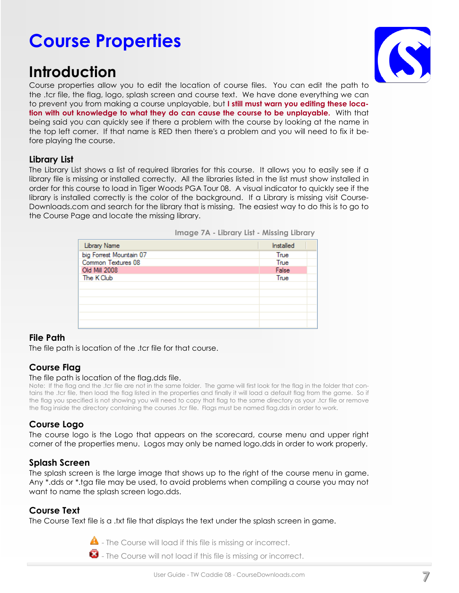## Course Properties

### Introduction



Course properties allow you to edit the location of course files. You can edit the path to the .tcr file, the flag, logo, splash screen and course text. We have done everything we can to prevent you from making a course unplayable, but I still must warn you editing these location with out knowledge to what they do can cause the course to be unplayable. With that being said you can quickly see if there a problem with the course by looking at the name in the top left corner. If that name is RED then there's a problem and you will need to fix it before playing the course.

### Library List

The Library List shows a list of required libraries for this course. It allows you to easily see if a library file is missing or installed correctly. All the libraries listed in the list must show installed in order for this course to load in Tiger Woods PGA Tour 08. A visual indicator to quickly see if the library is installed correctly is the color of the background. If a Library is missing visit Course-Downloads.com and search for the library that is missing. The easiest way to do this is to go to the Course Page and locate the missing library.

| Library Name            | Installed |
|-------------------------|-----------|
| big Forrest Mountain 07 | True      |
| Common Textures 08      | True      |
| Old Mill 2008           | False     |
| The K Club              | True      |
|                         |           |
|                         |           |
|                         |           |
|                         |           |
|                         |           |
|                         |           |

Image 7A - Library List - Missing Library

### File Path

The file path is location of the .tcr file for that course.

### Course Flag

### The file path is location of the flag.dds file.

Note: If the flag and the .tcr file are not in the same folder. The game will first look for the flag in the folder that contains the .tcr file, then load the flag listed in the properties and finally it will load a default flag from the game. So if the flag you specified is not showing you will need to copy that flag to the same directory as your .tcr file or remove the flag inside the directory containing the courses .tcr file. Flags must be named flag.dds in order to work.

### Course Logo

The course logo is the Logo that appears on the scorecard, course menu and upper right corner of the properties menu. Logos may only be named logo.dds in order to work properly.

### Splash Screen

The splash screen is the large image that shows up to the right of the course menu in game. Any \*.dds or \*.tga file may be used, to avoid problems when compiling a course you may not want to name the splash screen logo.dds.

### Course Text

The Course Text file is a .txt file that displays the text under the splash screen in game.

 $\triangle$  - The Course will load if this file is missing or incorrect.

 $\bullet$  - The Course will not load if this file is missing or incorrect.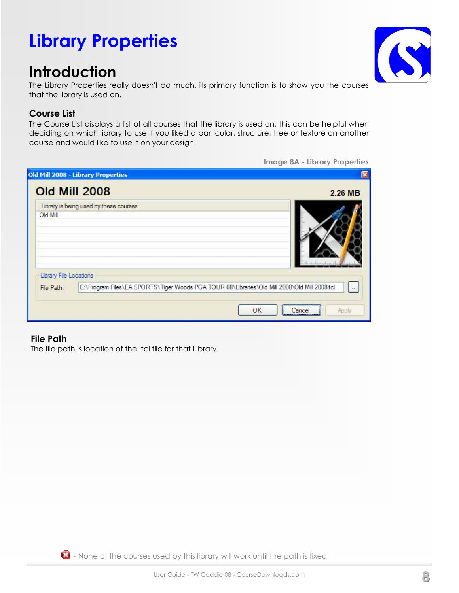## Library Properties

### Introduction

The Library Properties really doesn't do much, its primary function is to show you the courses that the library is used on.

### Course List

The Course List displays a list of all courses that the library is used on, this can be helpful when deciding on which library to use if you liked a particular, structure, tree or texture on another course and would like to use it on your design.

|                        | <b>Old Mill 2008</b>                                                                         | 2.26 MB        |
|------------------------|----------------------------------------------------------------------------------------------|----------------|
|                        | Library is being used by these courses                                                       |                |
| Old Mill               |                                                                                              |                |
| Library File Locations |                                                                                              |                |
| File Path:             | C:\Program Files\EA SPORTS\Tiger Woods PGA TOUR 08\Libraries\Old Mill 2008\Old Mill 2008.tcl | $N_{\rm{max}}$ |

### File Path

The file path is location of the .tcl file for that Library.



Image 8A - Library Properties

 $\bullet$  - None of the courses used by this library will work until the path is fixed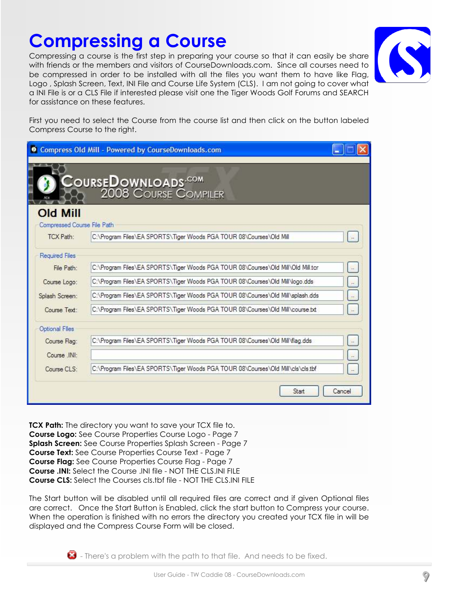#### User Guide - TW Caddie 08 - CourseDownloads.com

### Compressing a Course

Compressing a course is the first step in preparing your course so that it can easily be share with friends or the members and visitors of CourseDownloads.com. Since all courses need to be compressed in order to be installed with all the files you want them to have like Flag, Logo , Splash Screen, Text, INI File and Course Life System (CLS). I am not going to cover what a INI File is or a CLS File if interested please visit one the Tiger Woods Golf Forums and SEARCH for assistance on these features.

First you need to select the Course from the course list and then click on the button labeled Compress Course to the right.

| $\bullet$                                | Compress Old Mill - Powered by CourseDownloads.com                               |        |
|------------------------------------------|----------------------------------------------------------------------------------|--------|
|                                          | Cours <b>eDownloads<sup>,com</sup><br/>898 - 2008 Course Compiler</b>            |        |
| <b>Old Mill</b>                          |                                                                                  |        |
| Compressed Course File Path<br>TCX Path: | C:\Program Files\EA SPORTS\Tiger Woods PGA TOUR 08\Courses\Old Mill              |        |
| <b>Required Files</b>                    |                                                                                  |        |
| File Path:                               | C:\Program Files\EA SPORTS\Tiger Woods PGA TOUR 08\Courses\Old Mill\Old Mill.tcr |        |
| Course Logo:                             | C:\Program Files\EA SPORTS\Tiger Woods PGA TOUR 08\Courses\Old Mill\logo.dds     |        |
| Splash Screen:                           | C:\Program Files\EA SPORTS\Tiger Woods PGA TOUR 08\Courses\Old Mill\splash.dds   |        |
| Course Text:                             | C:\Program Files\EA SPORTS\Tiger Woods PGA TOUR 08\Courses\Old Mill\course.txt   | $\sim$ |
| Optional Flies                           |                                                                                  |        |
| Course Flag:                             | C:\Program Files\EA SPORTS\Tiger Woods PGA TOUR 08\Courses\Old Mill\flag.dds     |        |
| Course INI:                              |                                                                                  |        |
| Course CLS:                              | C:\Program Files\EA SPORTS\Tiger Woods PGA TOUR 08\Courses\Old Mill\cls\cls.tbf  |        |
|                                          | Start                                                                            | Cancel |

**TCX Path:** The directory you want to save your TCX file to. Course Logo: See Course Properties Course Logo - Page 7 Splash Screen: See Course Properties Splash Screen - Page 7 Course Text: See Course Properties Course Text - Page 7 Course Flag: See Course Properties Course Flag - Page 7 Course .INI: Select the Course .INI file - NOT THE CLS.INI FILE Course CLS: Select the Courses cls.tbf file - NOT THE CLS.INI FILE

The Start button will be disabled until all required files are correct and if given Optional files are correct. Once the Start Button is Enabled, click the start button to Compress your course. When the operation is finished with no errors the directory you created your TCX file in will be displayed and the Compress Course Form will be closed.

 $\bullet$  - There's a problem with the path to that file. And needs to be fixed.



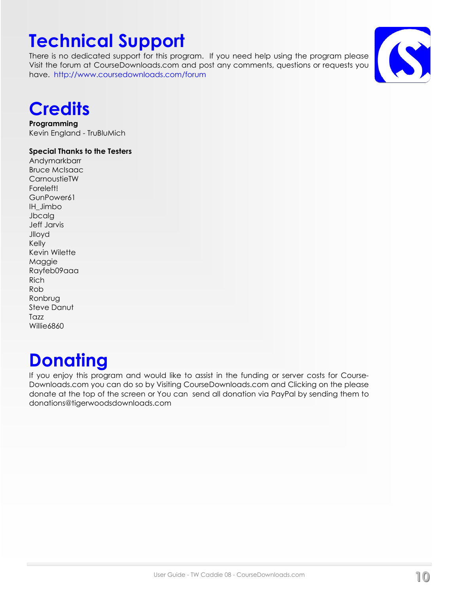## Technical Support

There is no dedicated support for this program. If you need help using the program please Visit the forum at CourseDownloads.com and post any comments, questions or requests you have. http://www.coursedownloads.com/forum



## **Credits**

Programming Kevin England - TruBluMich

### Special Thanks to the Testers

Andymarkbarr Bruce McIsaac **CarnoustieTW** Foreleft! GunPower61 IH\_Jimbo **Jbcalg** Jeff Jarvis Jlloyd Kelly Kevin Wilette Maggie Rayfeb09aaa Rich Rob Ronbrug Steve Danut **Tazz** Willie6860

## **Donating**

If you enjoy this program and would like to assist in the funding or server costs for Course-Downloads.com you can do so by Visiting CourseDownloads.com and Clicking on the please donate at the top of the screen or You can send all donation via PayPal by sending them to donations@tigerwoodsdownloads.com